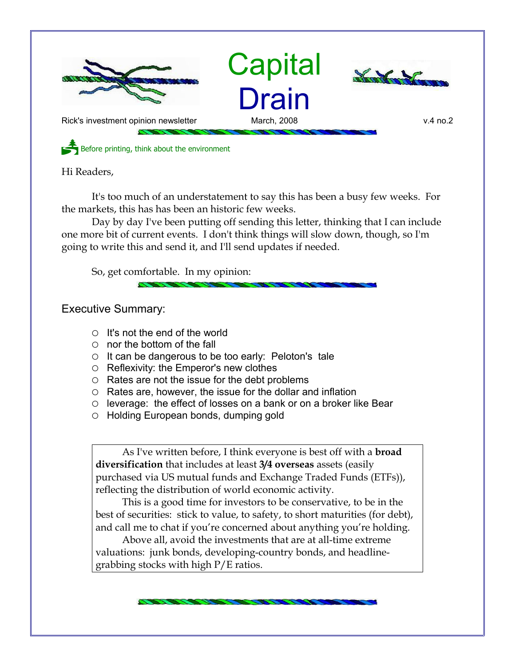



Before printing, think about the environment

Hi Readers,

It's too much of an understatement to say this has been a busy few weeks. For the markets, this has has been an historic few weeks.

Day by day I've been putting off sending this letter, thinking that I can include one more bit of current events. I don't think things will slow down, though, so I'm going to write this and send it, and I'll send updates if needed.

So, get comfortable. In my opinion:

Executive Summary:

- It's not the end of the world
- $\circ$  nor the bottom of the fall
- It can be dangerous to be too early: Peloton's tale
- Reflexivity: the Emperor's new clothes
- Rates are not the issue for the debt problems
- $\circ$  Rates are, however, the issue for the dollar and inflation
- leverage: the effect of losses on a bank or on a broker like Bear
- Holding European bonds, dumping gold

As I've written before, I think everyone is best off with a **broad diversification** that includes at least **3/4 overseas** assets (easily purchased via US mutual funds and Exchange Traded Funds (ETFs)), reflecting the distribution of world economic activity.

This is a good time for investors to be conservative, to be in the best of securities: stick to value, to safety, to short maturities (for debt), and call me to chat if you're concerned about anything you're holding.

Above all, avoid the investments that are at all-time extreme valuations: junk bonds, developing-country bonds, and headlinegrabbing stocks with high P/E ratios.

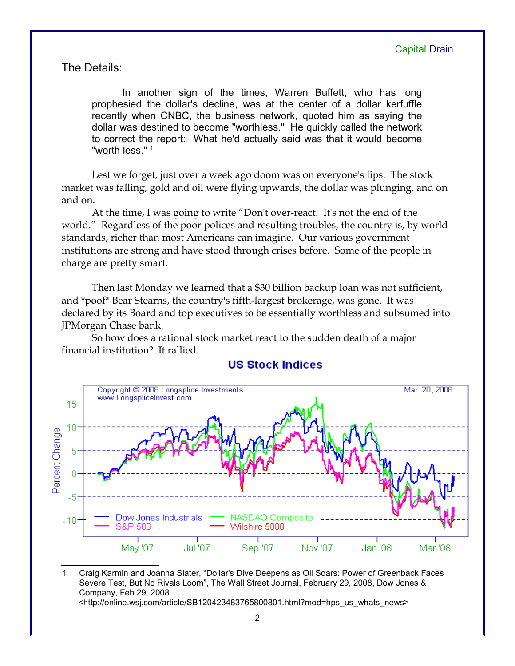The Details:

In another sign of the times, Warren Buffett, who has long prophesied the dollar's decline, was at the center of a dollar kerfuffle recently when CNBC, the business network, quoted him as saying the dollar was destined to become "worthless." He quickly called the network to correct the report: What he'd actually said was that it would become "worth less."<sup>[1](#page-1-0)</sup>

Lest we forget, just over a week ago doom was on everyone's lips. The stock market was falling, gold and oil were flying upwards, the dollar was plunging, and on and on.

At the time, I was going to write "Don't over-react. It's not the end of the world." Regardless of the poor polices and resulting troubles, the country is, by world standards, richer than most Americans can imagine. Our various government institutions are strong and have stood through crises before. Some of the people in charge are pretty smart.

Then last Monday we learned that a \$30 billion backup loan was not sufficient, and \*poof\* Bear Stearns, the country's fifth-largest brokerage, was gone. It was declared by its Board and top executives to be essentially worthless and subsumed into JPMorgan Chase bank.

So how does a rational stock market react to the sudden death of a major financial institution? It rallied.



### **US Stock Indices**

<span id="page-1-0"></span>1 Craig Karmin and Joanna Slater, "Dollar's Dive Deepens as Oil Soars: Power of Greenback Faces Severe Test, But No Rivals Loom", The Wall Street Journal, February 29, 2008, Dow Jones & Company, Feb 29, 2008 <http://online.wsj.com/article/SB120423483765800801.html?mod=hps\_us\_whats\_news>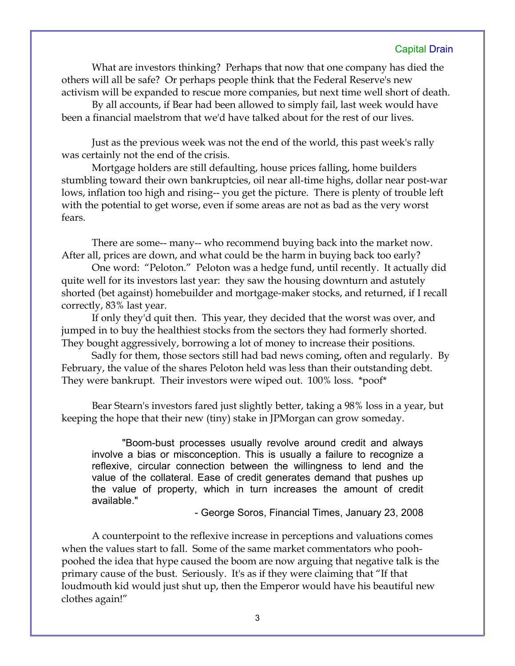What are investors thinking? Perhaps that now that one company has died the others will all be safe? Or perhaps people think that the Federal Reserve's new activism will be expanded to rescue more companies, but next time well short of death.

By all accounts, if Bear had been allowed to simply fail, last week would have been a financial maelstrom that we'd have talked about for the rest of our lives.

Just as the previous week was not the end of the world, this past week's rally was certainly not the end of the crisis.

Mortgage holders are still defaulting, house prices falling, home builders stumbling toward their own bankruptcies, oil near all-time highs, dollar near post-war lows, inflation too high and rising-- you get the picture. There is plenty of trouble left with the potential to get worse, even if some areas are not as bad as the very worst fears.

There are some-- many-- who recommend buying back into the market now. After all, prices are down, and what could be the harm in buying back too early?

One word: "Peloton." Peloton was a hedge fund, until recently. It actually did quite well for its investors last year: they saw the housing downturn and astutely shorted (bet against) homebuilder and mortgage-maker stocks, and returned, if I recall correctly, 83% last year.

If only they'd quit then. This year, they decided that the worst was over, and jumped in to buy the healthiest stocks from the sectors they had formerly shorted. They bought aggressively, borrowing a lot of money to increase their positions.

Sadly for them, those sectors still had bad news coming, often and regularly. By February, the value of the shares Peloton held was less than their outstanding debt. They were bankrupt. Their investors were wiped out. 100% loss. \*poof\*

Bear Stearn's investors fared just slightly better, taking a 98% loss in a year, but keeping the hope that their new (tiny) stake in JPMorgan can grow someday.

"Boom-bust processes usually revolve around credit and always involve a bias or misconception. This is usually a failure to recognize a reflexive, circular connection between the willingness to lend and the value of the collateral. Ease of credit generates demand that pushes up the value of property, which in turn increases the amount of credit available."

- George Soros, Financial Times, January 23, 2008

A counterpoint to the reflexive increase in perceptions and valuations comes when the values start to fall. Some of the same market commentators who poohpoohed the idea that hype caused the boom are now arguing that negative talk is the primary cause of the bust. Seriously. It's as if they were claiming that "If that loudmouth kid would just shut up, then the Emperor would have his beautiful new clothes again!"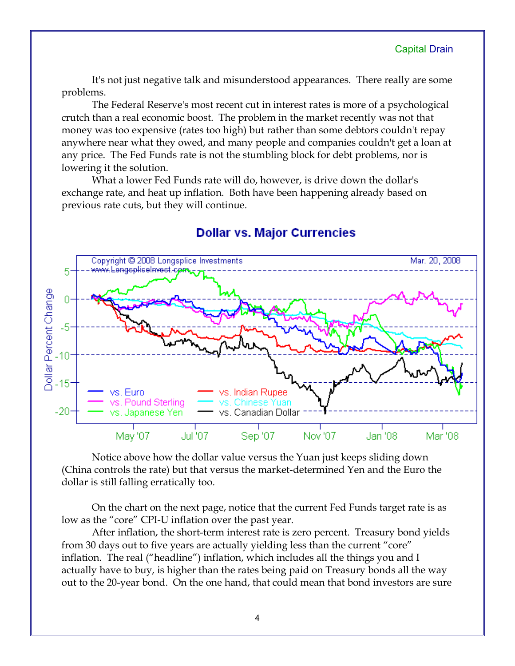It's not just negative talk and misunderstood appearances. There really are some problems.

The Federal Reserve's most recent cut in interest rates is more of a psychological crutch than a real economic boost. The problem in the market recently was not that money was too expensive (rates too high) but rather than some debtors couldn't repay anywhere near what they owed, and many people and companies couldn't get a loan at any price. The Fed Funds rate is not the stumbling block for debt problems, nor is lowering it the solution.

What a lower Fed Funds rate will do, however, is drive down the dollar's exchange rate, and heat up inflation. Both have been happening already based on previous rate cuts, but they will continue.



# **Dollar vs. Major Currencies**

Notice above how the dollar value versus the Yuan just keeps sliding down (China controls the rate) but that versus the market-determined Yen and the Euro the dollar is still falling erratically too.

On the chart on the next page, notice that the current Fed Funds target rate is as low as the "core" CPI-U inflation over the past year.

After inflation, the short-term interest rate is zero percent. Treasury bond yields from 30 days out to five years are actually yielding less than the current "core" inflation. The real ("headline") inflation, which includes all the things you and I actually have to buy, is higher than the rates being paid on Treasury bonds all the way out to the 20-year bond. On the one hand, that could mean that bond investors are sure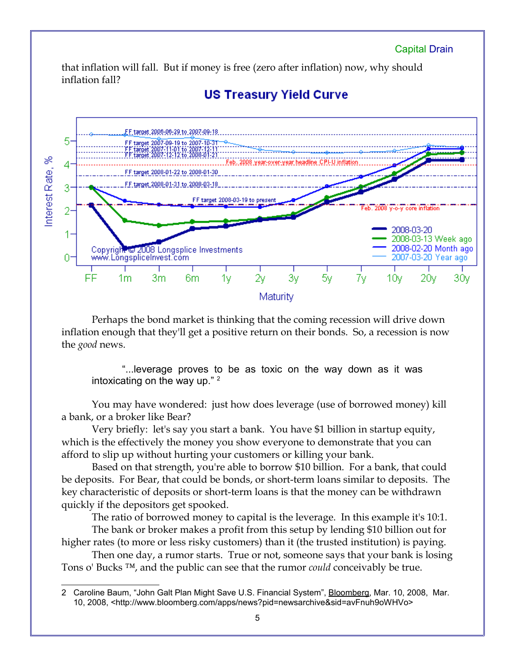that inflation will fall. But if money is free (zero after inflation) now, why should inflation fall?



## **US Treasury Yield Curve**

Perhaps the bond market is thinking that the coming recession will drive down inflation enough that they'll get a positive return on their bonds. So, a recession is now the *good* news.

"...leverage proves to be as toxic on the way down as it was intoxicating on the way up." [2](#page-4-0)

You may have wondered: just how does leverage (use of borrowed money) kill a bank, or a broker like Bear?

Very briefly: let's say you start a bank. You have \$1 billion in startup equity, which is the effectively the money you show everyone to demonstrate that you can afford to slip up without hurting your customers or killing your bank.

Based on that strength, you're able to borrow \$10 billion. For a bank, that could be deposits. For Bear, that could be bonds, or short-term loans similar to deposits. The key characteristic of deposits or short-term loans is that the money can be withdrawn quickly if the depositors get spooked.

The ratio of borrowed money to capital is the leverage. In this example it's 10:1.

The bank or broker makes a profit from this setup by lending \$10 billion out for higher rates (to more or less risky customers) than it (the trusted institution) is paying.

Then one day, a rumor starts. True or not, someone says that your bank is losing Tons o' Bucks ™, and the public can see that the rumor *could* conceivably be true.

<span id="page-4-0"></span><sup>2</sup> Caroline Baum, "John Galt Plan Might Save U.S. Financial System", **Bloomberg**, Mar. 10, 2008, Mar. 10, 2008, <http://www.bloomberg.com/apps/news?pid=newsarchive&sid=avFnuh9oWHVo>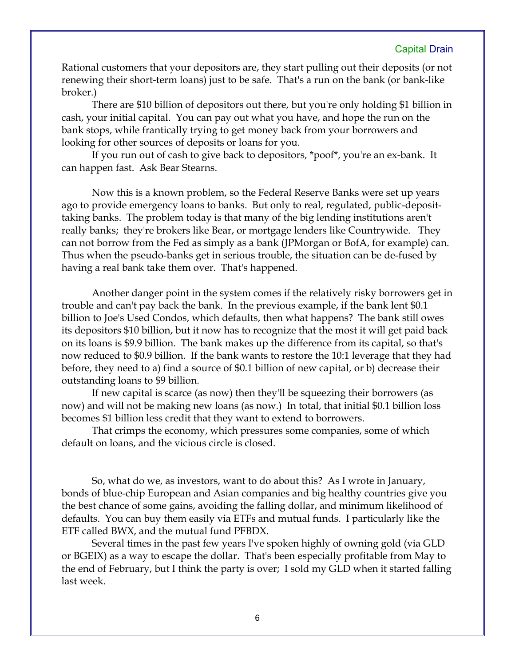Rational customers that your depositors are, they start pulling out their deposits (or not renewing their short-term loans) just to be safe. That's a run on the bank (or bank-like broker.)

There are \$10 billion of depositors out there, but you're only holding \$1 billion in cash, your initial capital. You can pay out what you have, and hope the run on the bank stops, while frantically trying to get money back from your borrowers and looking for other sources of deposits or loans for you.

If you run out of cash to give back to depositors, \*poof\*, you're an ex-bank. It can happen fast. Ask Bear Stearns.

Now this is a known problem, so the Federal Reserve Banks were set up years ago to provide emergency loans to banks. But only to real, regulated, public-deposittaking banks. The problem today is that many of the big lending institutions aren't really banks; they're brokers like Bear, or mortgage lenders like Countrywide. They can not borrow from the Fed as simply as a bank (JPMorgan or BofA, for example) can. Thus when the pseudo-banks get in serious trouble, the situation can be de-fused by having a real bank take them over. That's happened.

Another danger point in the system comes if the relatively risky borrowers get in trouble and can't pay back the bank. In the previous example, if the bank lent \$0.1 billion to Joe's Used Condos, which defaults, then what happens? The bank still owes its depositors \$10 billion, but it now has to recognize that the most it will get paid back on its loans is \$9.9 billion. The bank makes up the difference from its capital, so that's now reduced to \$0.9 billion. If the bank wants to restore the 10:1 leverage that they had before, they need to a) find a source of \$0.1 billion of new capital, or b) decrease their outstanding loans to \$9 billion.

If new capital is scarce (as now) then they'll be squeezing their borrowers (as now) and will not be making new loans (as now.) In total, that initial \$0.1 billion loss becomes \$1 billion less credit that they want to extend to borrowers.

That crimps the economy, which pressures some companies, some of which default on loans, and the vicious circle is closed.

So, what do we, as investors, want to do about this? As I wrote in January, bonds of blue-chip European and Asian companies and big healthy countries give you the best chance of some gains, avoiding the falling dollar, and minimum likelihood of defaults. You can buy them easily via ETFs and mutual funds. I particularly like the ETF called BWX, and the mutual fund PFBDX.

Several times in the past few years I've spoken highly of owning gold (via GLD or BGEIX) as a way to escape the dollar. That's been especially profitable from May to the end of February, but I think the party is over; I sold my GLD when it started falling last week.